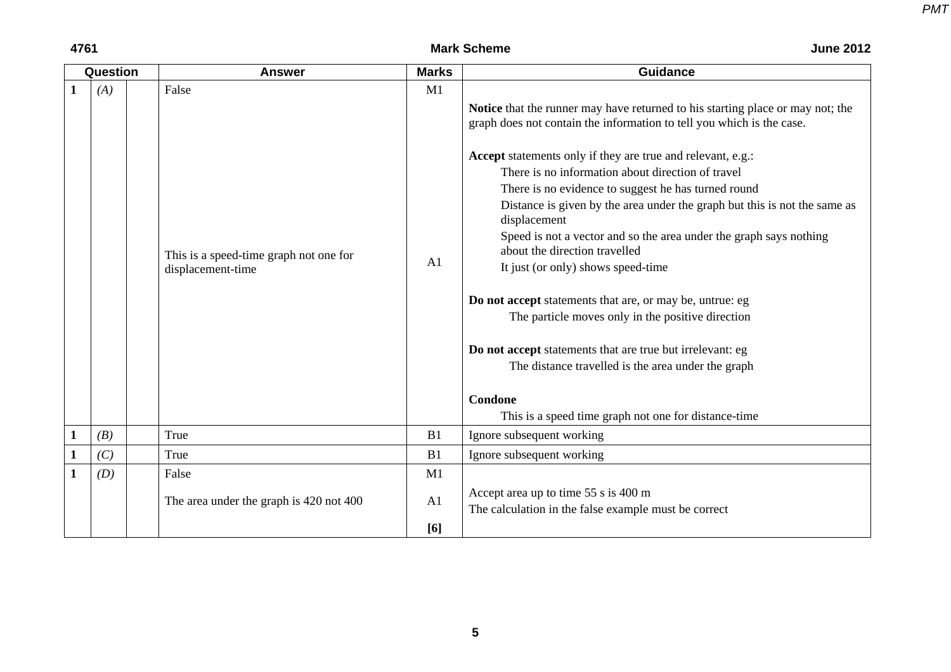## **4761** Mark Scheme

| <b>June 2012</b> |  |  |
|------------------|--|--|
|------------------|--|--|

|              | Question | <b>Answer</b>                                                        | <b>Marks</b>         | <b>Guidance</b>                                                                                                                                                                                                                                                                                                                                                                                                                                                                                                                                                                                                                                                                                                                                                                                                                                                                            |
|--------------|----------|----------------------------------------------------------------------|----------------------|--------------------------------------------------------------------------------------------------------------------------------------------------------------------------------------------------------------------------------------------------------------------------------------------------------------------------------------------------------------------------------------------------------------------------------------------------------------------------------------------------------------------------------------------------------------------------------------------------------------------------------------------------------------------------------------------------------------------------------------------------------------------------------------------------------------------------------------------------------------------------------------------|
|              | (A)      | False<br>This is a speed-time graph not one for<br>displacement-time | M1<br>A <sub>1</sub> | Notice that the runner may have returned to his starting place or may not; the<br>graph does not contain the information to tell you which is the case.<br><b>Accept</b> statements only if they are true and relevant, e.g.:<br>There is no information about direction of travel<br>There is no evidence to suggest he has turned round<br>Distance is given by the area under the graph but this is not the same as<br>displacement<br>Speed is not a vector and so the area under the graph says nothing<br>about the direction travelled<br>It just (or only) shows speed-time<br>Do not accept statements that are, or may be, untrue: eg<br>The particle moves only in the positive direction<br>Do not accept statements that are true but irrelevant: eg<br>The distance travelled is the area under the graph<br>Condone<br>This is a speed time graph not one for distance-time |
| 1            | (B)      | True                                                                 | B1                   | Ignore subsequent working                                                                                                                                                                                                                                                                                                                                                                                                                                                                                                                                                                                                                                                                                                                                                                                                                                                                  |
| $\mathbf{1}$ | (C)      | True                                                                 | B1                   | Ignore subsequent working                                                                                                                                                                                                                                                                                                                                                                                                                                                                                                                                                                                                                                                                                                                                                                                                                                                                  |
| $\mathbf{1}$ | (D)      | False                                                                | M1                   |                                                                                                                                                                                                                                                                                                                                                                                                                                                                                                                                                                                                                                                                                                                                                                                                                                                                                            |
|              |          | The area under the graph is 420 not 400                              | A1<br>[6]            | Accept area up to time 55 s is 400 m<br>The calculation in the false example must be correct                                                                                                                                                                                                                                                                                                                                                                                                                                                                                                                                                                                                                                                                                                                                                                                               |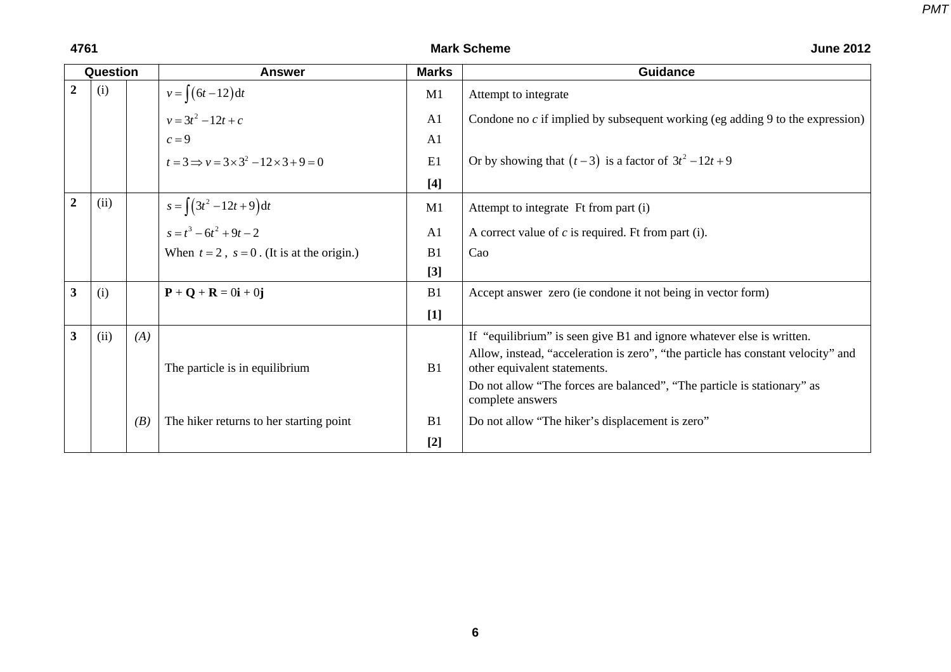| <b>June 2012</b> |  |  |
|------------------|--|--|
|------------------|--|--|

|   | Question |     | <b>Answer</b>                                                      | <b>Marks</b>   | <b>Guidance</b>                                                                             |
|---|----------|-----|--------------------------------------------------------------------|----------------|---------------------------------------------------------------------------------------------|
| 2 | (i)      |     | $v = \int (6t - 12) dt$<br>$v = 3t^2 - 12t + c$                    | M1             | Attempt to integrate                                                                        |
|   |          |     |                                                                    | A <sub>1</sub> | Condone no $c$ if implied by subsequent working (eg adding 9 to the expression)             |
|   |          |     | $c=9$                                                              | A1             |                                                                                             |
|   |          |     | $t=3 \implies v=3\times3^{2}-12\times3+9=0$                        | E1             | Or by showing that $(t-3)$ is a factor of $3t^2 - 12t + 9$                                  |
|   |          |     |                                                                    | $[4]$          |                                                                                             |
| 2 | (ii)     |     | $s = \int (3t^2 - 12t + 9) dt$                                     | M1             | Attempt to integrate Ft from part (i)                                                       |
|   |          |     | $s = t^3 - 6t^2 + 9t - 2$                                          | A <sub>1</sub> | A correct value of $c$ is required. Ft from part (i).                                       |
|   |          |     | When $t = 2$ , $s = 0$ . (It is at the origin.)                    | B1             | Cao                                                                                         |
|   |          |     |                                                                    | $[3]$          |                                                                                             |
| 3 | (i)      |     | $\mathbf{P} + \mathbf{Q} + \mathbf{R} = 0\mathbf{i} + 0\mathbf{j}$ | B1             | Accept answer zero (ie condone it not being in vector form)                                 |
|   |          |     |                                                                    | $[1]$          |                                                                                             |
| 3 | (ii)     | (A) |                                                                    |                | If "equilibrium" is seen give B1 and ignore whatever else is written.                       |
|   |          |     |                                                                    |                | Allow, instead, "acceleration is zero", "the particle has constant velocity" and            |
|   |          |     | The particle is in equilibrium                                     | B1             | other equivalent statements.                                                                |
|   |          |     |                                                                    |                | Do not allow "The forces are balanced", "The particle is stationary" as<br>complete answers |
|   |          | (B) | The hiker returns to her starting point                            | B1             | Do not allow "The hiker's displacement is zero"                                             |
|   |          |     |                                                                    | $[2]$          |                                                                                             |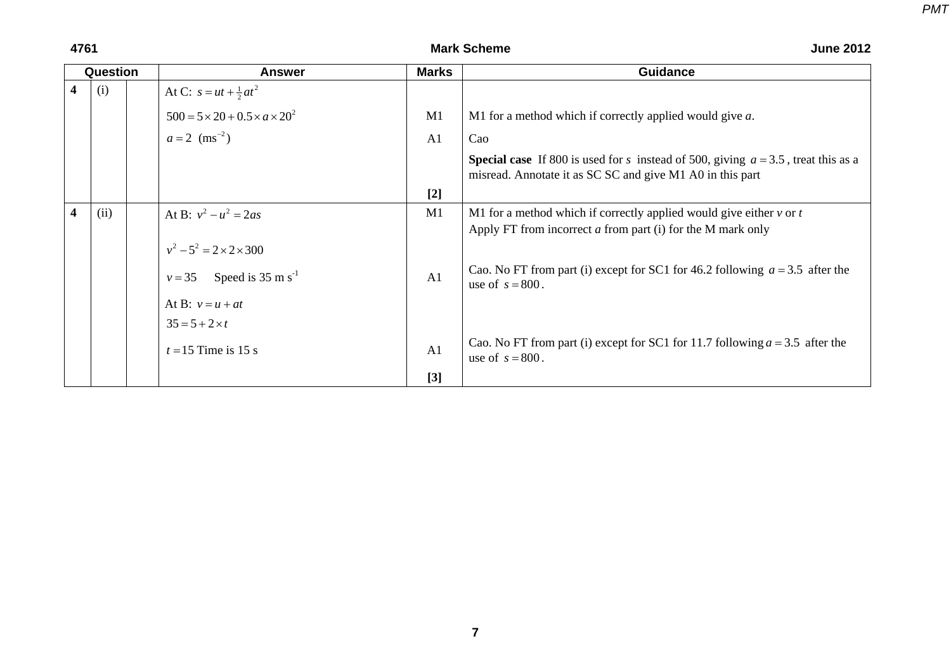|   | <b>Question</b> | <b>Answer</b>                                    | <b>Marks</b>   | <b>Guidance</b>                                                                                                                                          |
|---|-----------------|--------------------------------------------------|----------------|----------------------------------------------------------------------------------------------------------------------------------------------------------|
| 4 | (i)             | At C: $s = ut + \frac{1}{2}at^2$                 |                |                                                                                                                                                          |
|   |                 | $500 = 5 \times 20 + 0.5 \times a \times 20^{2}$ | M1             | M1 for a method which if correctly applied would give $a$ .                                                                                              |
|   |                 | $a = 2$ (ms <sup>-2</sup> )                      | A <sub>1</sub> | Cao                                                                                                                                                      |
|   |                 |                                                  |                | <b>Special case</b> If 800 is used for s instead of 500, giving $a = 3.5$ , treat this as a<br>misread. Annotate it as SC SC and give M1 A0 in this part |
|   |                 |                                                  | $[2]$          |                                                                                                                                                          |
| 4 | (ii)            | At B: $v^2 - u^2 = 2as$                          | M1             | M1 for a method which if correctly applied would give either $v$ or $t$<br>Apply FT from incorrect $a$ from part (i) for the M mark only                 |
|   |                 | $v^2 - 5^2 = 2 \times 2 \times 300$              |                |                                                                                                                                                          |
|   |                 | $v = 35$ Speed is 35 m s <sup>-1</sup>           | A <sub>1</sub> | Cao. No FT from part (i) except for SC1 for 46.2 following $a = 3.5$ after the<br>use of $s = 800$ .                                                     |
|   |                 | At B: $v = u + at$                               |                |                                                                                                                                                          |
|   |                 | $35 = 5 + 2 \times t$                            |                |                                                                                                                                                          |
|   |                 | $t = 15$ Time is 15 s                            | A <sub>1</sub> | Cao. No FT from part (i) except for SC1 for 11.7 following $a = 3.5$ after the<br>use of $s = 800$ .                                                     |
|   |                 |                                                  | $[3]$          |                                                                                                                                                          |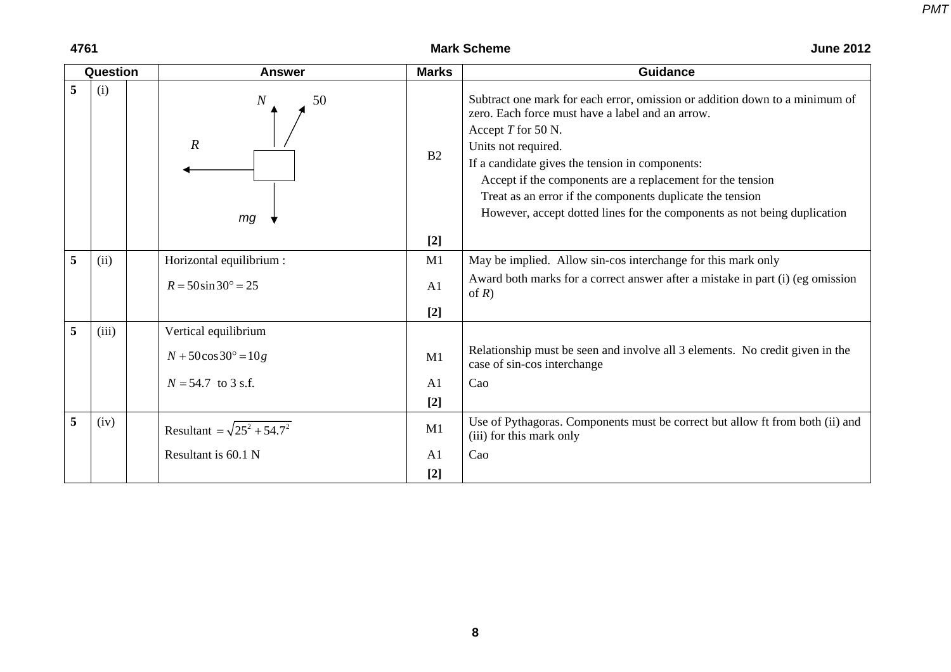**4761** Mark Scheme

| <b>June 2012</b> |  |
|------------------|--|
|------------------|--|

|   | Question | <b>Answer</b>                                  | <b>Marks</b>   | <b>Guidance</b>                                                                                                                                                                                                                                                                                                                                                                                                                        |
|---|----------|------------------------------------------------|----------------|----------------------------------------------------------------------------------------------------------------------------------------------------------------------------------------------------------------------------------------------------------------------------------------------------------------------------------------------------------------------------------------------------------------------------------------|
| 5 | (i)      | $\overline{N}$<br>50<br>$\boldsymbol{R}$<br>mg | B2             | Subtract one mark for each error, omission or addition down to a minimum of<br>zero. Each force must have a label and an arrow.<br>Accept T for 50 N.<br>Units not required.<br>If a candidate gives the tension in components:<br>Accept if the components are a replacement for the tension<br>Treat as an error if the components duplicate the tension<br>However, accept dotted lines for the components as not being duplication |
|   |          |                                                | $[2]$          |                                                                                                                                                                                                                                                                                                                                                                                                                                        |
| 5 | (ii)     | Horizontal equilibrium :                       | M1             | May be implied. Allow sin-cos interchange for this mark only                                                                                                                                                                                                                                                                                                                                                                           |
|   |          | $R = 50 \sin 30^{\circ} = 25$                  | A1             | Award both marks for a correct answer after a mistake in part (i) (eg omission<br>of $R$ )                                                                                                                                                                                                                                                                                                                                             |
|   |          |                                                | $[2]$          |                                                                                                                                                                                                                                                                                                                                                                                                                                        |
| 5 | (iii)    | Vertical equilibrium                           |                |                                                                                                                                                                                                                                                                                                                                                                                                                                        |
|   |          | $N + 50\cos 30^\circ = 10g$                    | M1             | Relationship must be seen and involve all 3 elements. No credit given in the<br>case of sin-cos interchange                                                                                                                                                                                                                                                                                                                            |
|   |          | $N = 54.7$ to 3 s.f.                           | A <sub>1</sub> | Cao                                                                                                                                                                                                                                                                                                                                                                                                                                    |
|   |          |                                                | $[2]$          |                                                                                                                                                                                                                                                                                                                                                                                                                                        |
| 5 | (iv)     | Resultant = $\sqrt{25^2 + 54.7^2}$             | M1             | Use of Pythagoras. Components must be correct but allow ft from both (ii) and<br>(iii) for this mark only                                                                                                                                                                                                                                                                                                                              |
|   |          | Resultant is 60.1 N                            | A <sub>1</sub> | Cao                                                                                                                                                                                                                                                                                                                                                                                                                                    |
|   |          |                                                | $[2]$          |                                                                                                                                                                                                                                                                                                                                                                                                                                        |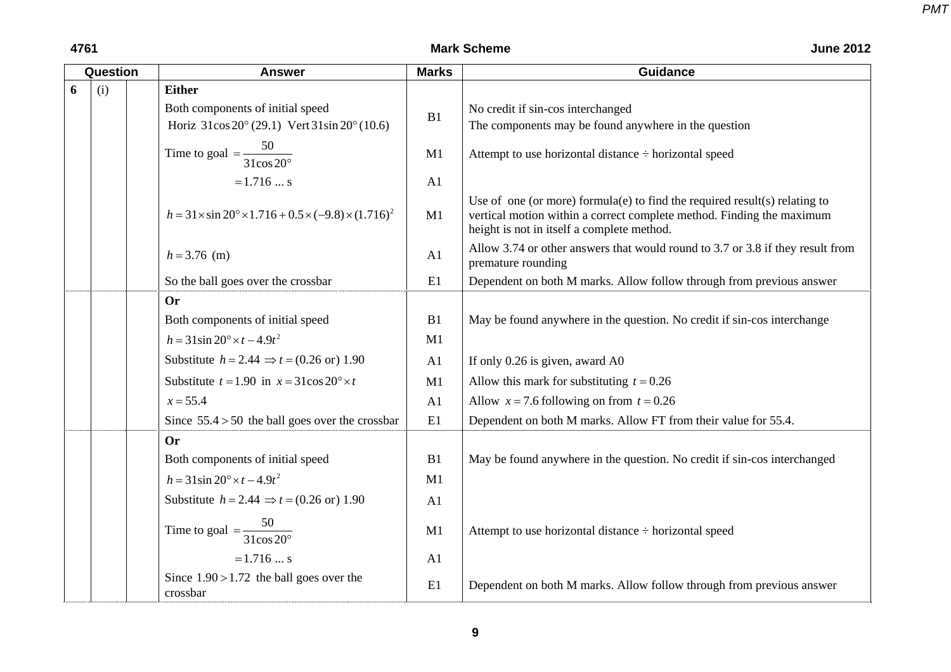|   | Question | <b>Answer</b>                                                                       | <b>Marks</b>   | <b>Guidance</b>                                                                                                                                                                                   |
|---|----------|-------------------------------------------------------------------------------------|----------------|---------------------------------------------------------------------------------------------------------------------------------------------------------------------------------------------------|
| 6 | (i)      | <b>Either</b>                                                                       |                |                                                                                                                                                                                                   |
|   |          | Both components of initial speed                                                    | B1             | No credit if sin-cos interchanged                                                                                                                                                                 |
|   |          | Horiz $31\cos 20^\circ (29.1)$ Vert $31\sin 20^\circ (10.6)$                        |                | The components may be found anywhere in the question                                                                                                                                              |
|   |          | Time to goal = $\frac{50}{31 \cos 20^\circ}$                                        | M1             | Attempt to use horizontal distance ÷ horizontal speed                                                                                                                                             |
|   |          | $= 1.716$ s                                                                         | A1             |                                                                                                                                                                                                   |
|   |          | $h = 31 \times \sin 20^{\circ} \times 1.716 + 0.5 \times (-9.8) \times (1.716)^{2}$ | M1             | Use of one (or more) formula(e) to find the required result(s) relating to<br>vertical motion within a correct complete method. Finding the maximum<br>height is not in itself a complete method. |
|   |          | $h = 3.76$ (m)                                                                      | A1             | Allow 3.74 or other answers that would round to 3.7 or 3.8 if they result from<br>premature rounding                                                                                              |
|   |          | So the ball goes over the crossbar                                                  | E1             | Dependent on both M marks. Allow follow through from previous answer                                                                                                                              |
|   |          | <b>Or</b>                                                                           |                |                                                                                                                                                                                                   |
|   |          | Both components of initial speed                                                    | B1             | May be found anywhere in the question. No credit if sin-cos interchange                                                                                                                           |
|   |          | $h = 31\sin 20^{\circ} \times t - 4.9t^2$                                           | M1             |                                                                                                                                                                                                   |
|   |          | Substitute $h = 2.44 \Rightarrow t = (0.26 \text{ or } 1.90$                        | A <sub>1</sub> | If only 0.26 is given, award A0                                                                                                                                                                   |
|   |          | Substitute $t = 1.90$ in $x = 31\cos 20^\circ \times t$                             | M1             | Allow this mark for substituting $t = 0.26$                                                                                                                                                       |
|   |          | $x = 55.4$                                                                          | A <sub>1</sub> | Allow $x = 7.6$ following on from $t = 0.26$                                                                                                                                                      |
|   |          | Since $55.4 > 50$ the ball goes over the crossbar                                   | E1             | Dependent on both M marks. Allow FT from their value for 55.4.                                                                                                                                    |
|   |          | <b>Or</b>                                                                           |                |                                                                                                                                                                                                   |
|   |          | Both components of initial speed                                                    | B1             | May be found anywhere in the question. No credit if sin-cos interchanged                                                                                                                          |
|   |          | $h = 31\sin 20^{\circ} \times t - 4.9t^2$                                           | M1             |                                                                                                                                                                                                   |
|   |          | Substitute $h = 2.44 \Rightarrow t = (0.26 \text{ or } 1.90$                        | A <sub>1</sub> |                                                                                                                                                                                                   |
|   |          | Time to goal $=\frac{50}{31\cos 20^\circ}$                                          | M1             | Attempt to use horizontal distance ÷ horizontal speed                                                                                                                                             |
|   |          | $= 1.716  s$                                                                        | A1             |                                                                                                                                                                                                   |
|   |          | Since $1.90 > 1.72$ the ball goes over the<br>crossbar                              | E1             | Dependent on both M marks. Allow follow through from previous answer                                                                                                                              |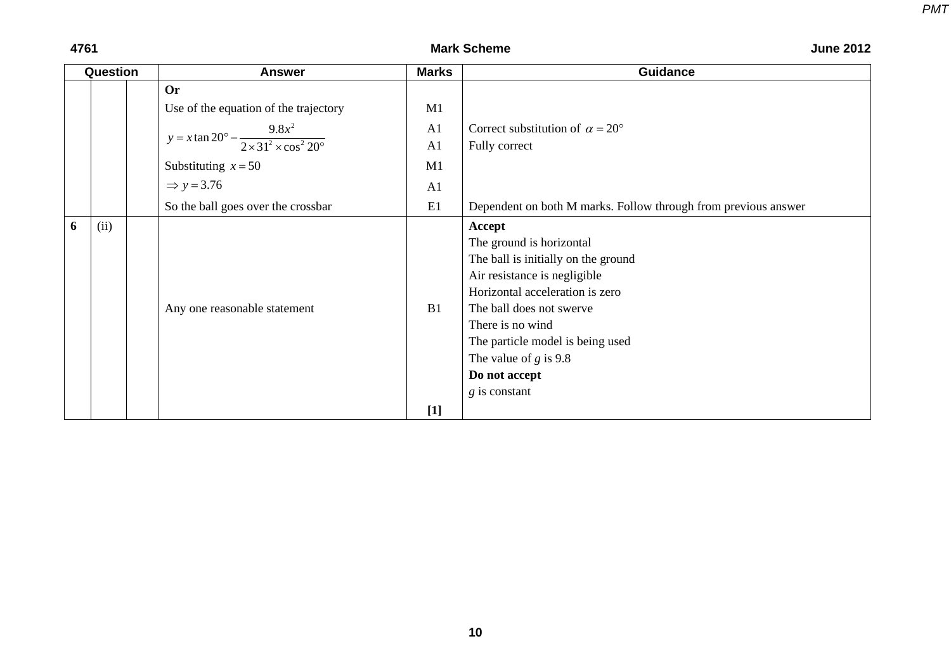## **4761** Mark Scheme

*PMT*

| <b>June 2012</b> |  |  |
|------------------|--|--|
|------------------|--|--|

| Question |      | <b>Answer</b>                                                                   | <b>Marks</b> | <b>Guidance</b>                                                                                                                                                                                                                                                                                 |
|----------|------|---------------------------------------------------------------------------------|--------------|-------------------------------------------------------------------------------------------------------------------------------------------------------------------------------------------------------------------------------------------------------------------------------------------------|
|          |      | <b>Or</b>                                                                       |              |                                                                                                                                                                                                                                                                                                 |
|          |      | Use of the equation of the trajectory                                           | M1           |                                                                                                                                                                                                                                                                                                 |
|          |      | $y = x \tan 20^{\circ} - \frac{9.8x^2}{2 \times 31^2 \times \cos^2 20^{\circ}}$ | A1           | Correct substitution of $\alpha = 20^{\circ}$                                                                                                                                                                                                                                                   |
|          |      |                                                                                 | A1           | Fully correct                                                                                                                                                                                                                                                                                   |
|          |      | Substituting $x = 50$                                                           | M1           |                                                                                                                                                                                                                                                                                                 |
|          |      | $\Rightarrow$ y = 3.76                                                          | A1           |                                                                                                                                                                                                                                                                                                 |
|          |      | So the ball goes over the crossbar                                              | E1           | Dependent on both M marks. Follow through from previous answer                                                                                                                                                                                                                                  |
| 6        | (ii) | Any one reasonable statement                                                    | B1           | Accept<br>The ground is horizontal<br>The ball is initially on the ground<br>Air resistance is negligible<br>Horizontal acceleration is zero<br>The ball does not swerve<br>There is no wind<br>The particle model is being used<br>The value of $g$ is 9.8<br>Do not accept<br>$g$ is constant |
|          |      |                                                                                 | $[1]$        |                                                                                                                                                                                                                                                                                                 |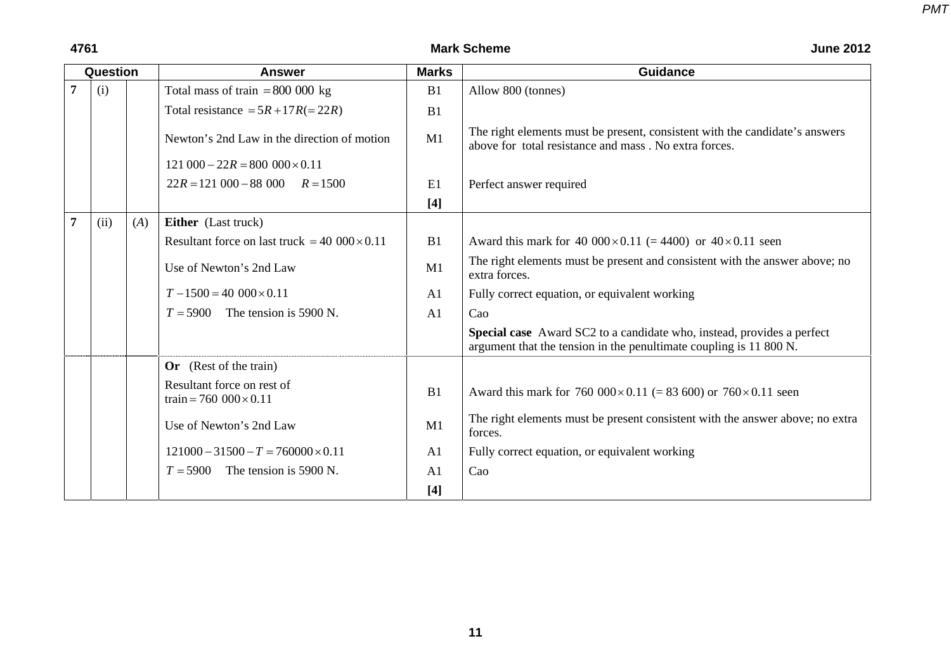|                | Question |     | <b>Answer</b>                                               | <b>Marks</b>   | <b>Guidance</b>                                                                                                                              |
|----------------|----------|-----|-------------------------------------------------------------|----------------|----------------------------------------------------------------------------------------------------------------------------------------------|
| $\overline{7}$ | (i)      |     | Total mass of train = $800\,000$ kg                         | B1             | Allow 800 (tonnes)                                                                                                                           |
|                |          |     | Total resistance = $5R + 17R (= 22R)$                       | B1             |                                                                                                                                              |
|                |          |     | Newton's 2nd Law in the direction of motion                 | M1             | The right elements must be present, consistent with the candidate's answers<br>above for total resistance and mass. No extra forces.         |
|                |          |     | $121\,000 - 22R = 800\,000 \times 0.11$                     |                |                                                                                                                                              |
|                |          |     | $22R = 121000 - 88000$ $R = 1500$                           | E1             | Perfect answer required                                                                                                                      |
|                |          |     |                                                             | $[4]$          |                                                                                                                                              |
| 7              | (ii)     | (A) | Either (Last truck)                                         |                |                                                                                                                                              |
|                |          |     | Resultant force on last truck = $40\,000 \times 0.11$       | B1             | Award this mark for 40 $000 \times 0.11$ (= 4400) or $40 \times 0.11$ seen                                                                   |
|                |          |     | Use of Newton's 2nd Law                                     | M1             | The right elements must be present and consistent with the answer above; no<br>extra forces.                                                 |
|                |          |     | $T-1500 = 40000 \times 0.11$                                | A <sub>1</sub> | Fully correct equation, or equivalent working                                                                                                |
|                |          |     | $T = 5900$ The tension is 5900 N.                           | A1             | Cao                                                                                                                                          |
|                |          |     |                                                             |                | Special case Award SC2 to a candidate who, instead, provides a perfect<br>argument that the tension in the penultimate coupling is 11 800 N. |
|                |          |     | <b>Or</b> (Rest of the train)                               |                |                                                                                                                                              |
|                |          |     | Resultant force on rest of<br>train = 760 $000 \times 0.11$ | B1             | Award this mark for 760 $000 \times 0.11$ (= 83 600) or 760 $\times$ 0.11 seen                                                               |
|                |          |     | Use of Newton's 2nd Law                                     | M1             | The right elements must be present consistent with the answer above; no extra<br>forces.                                                     |
|                |          |     | $121000 - 31500 - T = 760000 \times 0.11$                   | A <sub>1</sub> | Fully correct equation, or equivalent working                                                                                                |
|                |          |     | $T = 5900$<br>The tension is 5900 N.                        | A <sub>1</sub> | Cao                                                                                                                                          |
|                |          |     |                                                             | $[4]$          |                                                                                                                                              |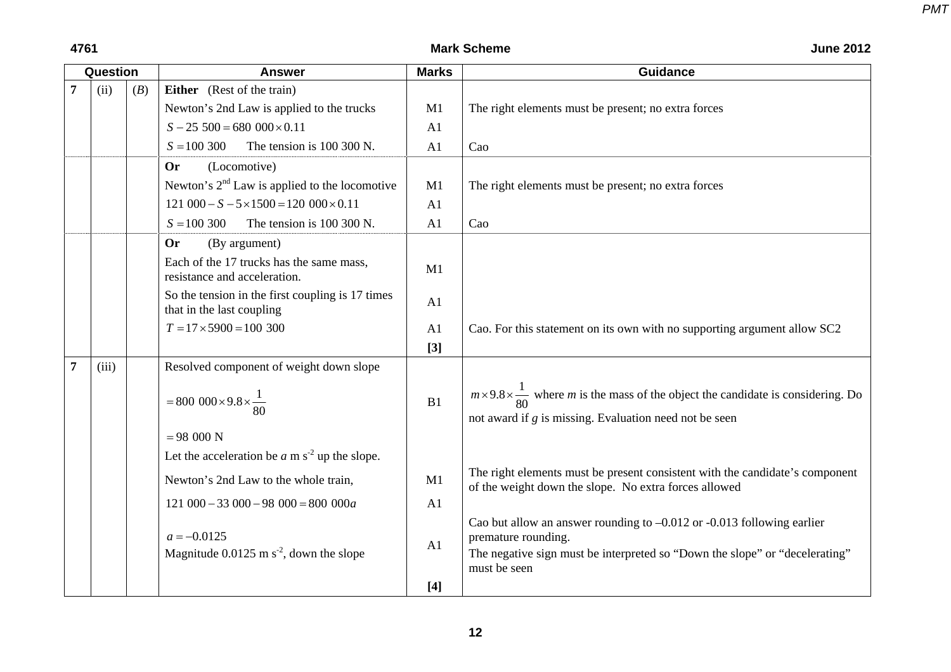| Question       |       |     | <b>Answer</b>                                                                 | <b>Marks</b>   | <b>Guidance</b>                                                                                                                                                                                  |
|----------------|-------|-----|-------------------------------------------------------------------------------|----------------|--------------------------------------------------------------------------------------------------------------------------------------------------------------------------------------------------|
| $\overline{7}$ | (ii)  | (B) | Either (Rest of the train)                                                    |                |                                                                                                                                                                                                  |
|                |       |     | Newton's 2nd Law is applied to the trucks                                     | M1             | The right elements must be present; no extra forces                                                                                                                                              |
|                |       |     | $S - 25500 = 680000 \times 0.11$                                              | A <sub>1</sub> |                                                                                                                                                                                                  |
|                |       |     | $S = 100300$<br>The tension is 100 300 N.                                     | A1             | Cao                                                                                                                                                                                              |
|                |       |     | (Locomotive)<br><b>Or</b>                                                     |                |                                                                                                                                                                                                  |
|                |       |     | Newton's $2nd$ Law is applied to the locomotive                               | M1             | The right elements must be present; no extra forces                                                                                                                                              |
|                |       |     | $121\,000-S-5\times1500=120\,000\times0.11$                                   | A <sub>1</sub> |                                                                                                                                                                                                  |
|                |       |     | $S = 100300$<br>The tension is 100 300 N.                                     | A <sub>1</sub> | Cao                                                                                                                                                                                              |
|                |       |     | <b>Or</b><br>(By argument)                                                    |                |                                                                                                                                                                                                  |
|                |       |     | Each of the 17 trucks has the same mass,<br>resistance and acceleration.      | M1             |                                                                                                                                                                                                  |
|                |       |     | So the tension in the first coupling is 17 times<br>that in the last coupling | A1             |                                                                                                                                                                                                  |
|                |       |     | $T = 17 \times 5900 = 100300$                                                 | A1             | Cao. For this statement on its own with no supporting argument allow SC2                                                                                                                         |
|                |       |     |                                                                               | $[3]$          |                                                                                                                                                                                                  |
| $\overline{7}$ | (iii) |     | Resolved component of weight down slope                                       |                |                                                                                                                                                                                                  |
|                |       |     | $= 800\ 000 \times 9.8 \times \frac{1}{80}$                                   | B1             | $m \times 9.8 \times \frac{1}{80}$ where <i>m</i> is the mass of the object the candidate is considering. Do<br>not award if $g$ is missing. Evaluation need not be seen                         |
|                |       |     | $= 98000 N$                                                                   |                |                                                                                                                                                                                                  |
|                |       |     | Let the acceleration be $a$ m s <sup>-2</sup> up the slope.                   |                |                                                                                                                                                                                                  |
|                |       |     | Newton's 2nd Law to the whole train,                                          | M1             | The right elements must be present consistent with the candidate's component<br>of the weight down the slope. No extra forces allowed                                                            |
|                |       |     | $121\,000 - 33\,000 - 98\,000 = 800\,000a$                                    | A1             |                                                                                                                                                                                                  |
|                |       |     | $a = -0.0125$<br>Magnitude $0.0125$ m s <sup>-2</sup> , down the slope        | A1             | Cao but allow an answer rounding to $-0.012$ or $-0.013$ following earlier<br>premature rounding.<br>The negative sign must be interpreted so "Down the slope" or "decelerating"<br>must be seen |
|                |       |     |                                                                               | $[4]$          |                                                                                                                                                                                                  |